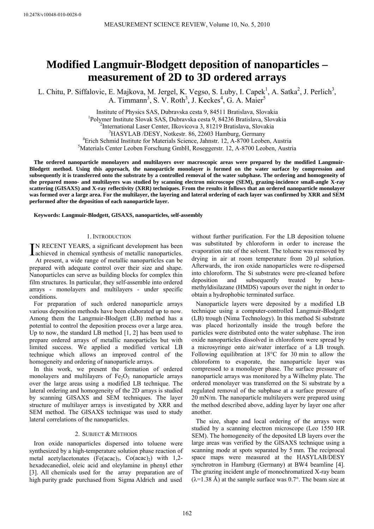# <span id="page-0-0"></span>**Modified Langmuir-Blodgett deposition of nanoparticles – measurement of 2D to 3D ordered arrays**

L. Chitu, P. Siffalovic, E. Majkova, M. Jergel, K. Vegso, S. Luby, I. Capek<sup>1</sup>, A. Satka<sup>2</sup>, J. Perlich<sup>3</sup>, A. Timmann<sup>3</sup>, S. V. Roth<sup>3</sup>, J. Keckes<sup>4</sup>, G. A. Maier<sup>5</sup>

> Institute of Physics SAS, Dubravska cesta 9, 84511 Bratislava, Slovakia 1 <sup>1</sup>Polymer Institute Slovak SAS, Dubravska cesta 9, 84236 Bratislava, Slovakia <sup>2</sup>International Laser Center, Ilkovicova 3, 81219 Bratislava, Slovakia <sup>3</sup>HASYLAB /DESY, Notkestr. 86, 22603 Hamburg, Germany <sup>4</sup> Erich Schmid Institute for Materials Science, Jahnstr. 12, A-8700 Leoben, Austria Materials Center Leoben Forschung GmbH, Roseggerstr. 12, A-8700 Leoben, Austria

**The ordered nanoparticle monolayers and multilayers over macroscopic areas were prepared by the modified Langmuir-Blodgett method. Using this approach, the nanoparticle monolayer is formed on the water surface by compression and subsequently it is transferred onto the substrate by a controlled removal of the water subphase. The ordering and homogeneity of the prepared mono- and multilayers was studied by scanning electron microscope (SEM), grazing-incidence small-angle X-ray scattering (GISAXS) and X-ray reflectivity (XRR) techniques. From the results it follows that an ordered nanoparticle monolayer was formed over a large area. For the multilayer, the layering and lateral ordering of each layer was confirmed by XRR and SEM performed after the deposition of each nanoparticle layer.** 

**Keywords: Langmuir-Blodgett, GISAXS, nanoparticles, self-assembly** 

# 1. INTRODUCTION

N RECENT YEARS, a significant development has been IN RECENT YEARS, a significant development has been achieved in chemical synthesis of metallic nanoparticles.

A t present, a wide range of metallic nanoparticles can be prepared with adequate control over their size and shape. Nanoparticles can serve as building blocks for complex thin film structures. In particular, they self-assemble into ordered arrays - monolayers and multilayers - under specific conditions.

For preparation of such ordered nanoparticle arrays various deposition methods have been elaborated up to now. Among them the Langmuir-Blodgett (LB) method has a potential to control the deposition process over a large area. Up to now, the standard LB method [[1,](#page-0-0) [2](#page-0-0)] has been used to prepare ordered arrays of metallic nanoparticles but with limited success. We applied a modified vertical LB technique which allows an improved control of the homogeneity and ordering of nanoparticle arrays.

In this work, we present the formation of ordered monolayers and multilayers of  $Fe<sub>2</sub>O<sub>3</sub>$  nanoparticle arrays over the large areas using a modified LB technique. The lateral ordering and homogeneity of the 2D arrays is studied by scanning GISAXS and SEM techniques. The layer structure of multilayer arrays is investigated by XRR and SEM method. The GISAXS technique was used to study lateral correlations of the nanoparticles.

# 2. SUBJECT & METHODS

Iron oxide nanoparticles dispersed into toluene were synthesized by a high-temperature solution phase reaction of metal acetylacetonates (Fe(acac)<sub>3</sub>, Co(acac)<sub>2</sub>) with 1,2hexadecanediol, oleic acid and oleylamine in phenyl ether [\[3](#page-0-0)]. All chemicals used for the array preparation are of high purity grade purchased from Sigma Aldrich and used

without further purification. For the LB deposition toluene was substituted by chloroform in order to increase the evaporation rate of the solvent. The toluene was removed by drying in air at room temperature from 20 μl solution. Afterwards, the iron oxide nanoparticles were re-dispersed into chloroform. The Si substrates were pre-cleaned before deposition and subsequently treated by hexamethyldisilazane (HMDS) vapours over the night in order to obtain a hydrophobic terminated surface.

Nanoparticle layers were deposited by a modified LB technique using a computer-controlled Langmuir-Blodgett (LB) trough (Nima Technology). In this method Si substrate was placed horizontally inside the trough before the particles were distributed onto the water subphase. The iron oxide nanoparticles dissolved in chloroform were spread by a microsyringe onto air/water interface of a LB trough. Following equilibration at 18°C for 30 min to allow the chloroform to evaporate, the nanoparticle layer was compressed to a monolayer phase. The surface pressure of nanoparticle arrays was monitored by a Wilhelmy plate. The ordered monolayer was transferred on the Si substrate by a regulated removal of the subphase at a surface pressure of 20 mN/m. The nanoparticle multilayers were prepared using the method described above, adding layer by layer one after another.

The size, shape and local ordering of the arrays were studied by a scanning electron microscope (Leo 1550 HR SEM). The homogeneity of the deposited LB layers over the large areas was verified by the GISAXS technique using a scanning mode at spots separated by 5 mm. The reciprocal space maps were measured at the HASYLAB/DESY synchrotron in Hamburg (Germany) at BW4 beamline [[4\]](#page-0-0). The grazing incident angle of monochromatized X-ray beam  $(\lambda=1.38 \text{ Å})$  at the sample surface was 0.7°. The beam size at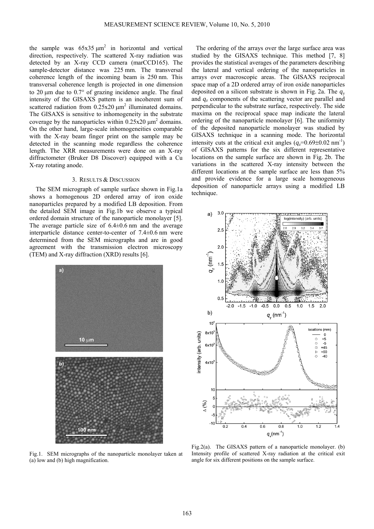the sample was  $65x35 \mu m^2$  in horizontal and vertical direction, respectively. The scattered X-ray radiation was detected by an X-ray CCD camera (marCCD165). The sample-detector distance was 225 mm. The transversal coherence length of the incoming beam is 250 nm. This transversal coherence length is projected in one dimension to 20 μm due to 0.7° of grazing incidence angle. The final intensity of the GISAXS pattern is an incoherent sum of scattered radiation from  $0.25x20 \mu m^2$  illuminated domains. The GISAXS is sensitive to inhomogeneity in the substrate coverage by the nanoparticles within  $0.25x20 \mu m^2$  domains. On the other hand, large-scale inhomogeneities comparable with the X-ray beam finger print on the sample may be detected in the scanning mode regardless the coherence length. The XRR measurements were done on an X-ray diffractometer (Bruker D8 Discover) equipped with a Cu X-ray rotating anode.

### 3. RESULTS & DISCUSSION

The SEM micrograph of sample surface shown in Fig.1a shows a homogenous 2D ordered array of iron oxide nanoparticles prepared by a modified LB deposition. From the detailed SEM image in Fig.1b we observe a typical ordered domain structure of the nanoparticle monolayer [[5\]](#page-0-0). The average particle size of  $6.4\pm0.6$  nm and the average interparticle distance center-to-center of 7.4±0.6 nm were determined from the SEM micrographs and are in good agreement with the transmission electron microscopy (TEM) and X-ray diffraction (XRD) results [[6\]](#page-0-0).



Fig.1. SEM micrographs of the nanoparticle monolayer taken at (a) low and (b) high magnification.

The ordering of the arrays over the large surface area was studied by the GISAXS technique. This method [[7,](#page-0-0) [8](#page-0-0)] provides the statistical averages of the parameters describing the lateral and vertical ordering of the nanoparticles in arrays over macroscopic areas. The GISAXS reciprocal space map of a 2D ordered array of iron oxide nanoparticles deposited on a silicon substrate is shown in Fig. 2a. The *q*<sup>y</sup> and *q*<sup>z</sup> components of the scattering vector are parallel and perpendicular to the substrate surface, respectively. The side maxima on the reciprocal space map indicate the lateral ordering of the nanoparticle monolayer [\[6](#page-0-0)]. The uniformity of the deposited nanoparticle monolayer was studied by GISAXS technique in a scanning mode. The horizontal intensity cuts at the critical exit angles  $(q_7=0.69\pm0.02 \text{ nm}^{-1})$ of GISAXS patterns for the six different representative locations on the sample surface are shown in Fig. 2b. The variations in the scattered X-ray intensity between the different locations at the sample surface are less than 5% and provide evidence for a large scale homogeneous deposition of nanoparticle arrays using a modified LB technique.



Fig.2(a). The GISAXS pattern of a nanoparticle monolayer. (b) Intensity profile of scattered X-ray radiation at the critical exit angle for six different positions on the sample surface.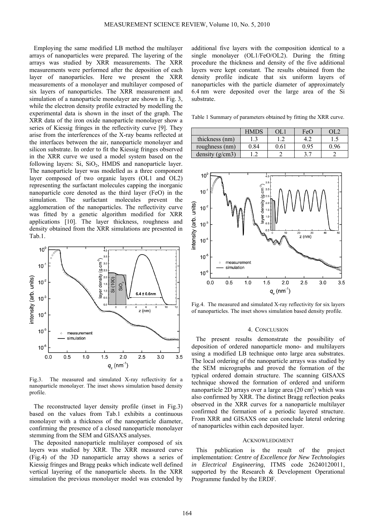Employing the same modified LB method the multilayer arrays of nanoparticles were prepared. The layering of the arrays was studied by XRR measurements. The XRR measurements were performed after the deposition of each layer of nanoparticles. Here we present the XRR measurements of a monolayer and multilayer composed of six layers of nanoparticles. The XRR measurement and simulation of a nanoparticle monolayer are shown in Fig. 3, while the electron density profile extracted by modelling the experimental data is shown in the inset of the graph. The XRR data of the iron oxide nanoparticle monolayer show a series of Kiessig fringes in the reflectivity curve [\[9](#page-0-0)]. They arise from the interferences of the X-ray beams reflected at the interfaces between the air, nanoparticle monolayer and silicon substrate. In order to fit the Kiessig fringes observed in the XRR curve we used a model system based on the following layers:  $Si$ ,  $SiO<sub>2</sub>$ , HMDS and nanoparticle layer. The nanoparticle layer was modelled as a three component layer composed of two organic layers (OL1 and OL2) representing the surfactant molecules capping the inorganic nanoparticle core denoted as the third layer (FeO) in the simulation. The surfactant molecules prevent the agglomeration of the nanoparticles. The reflectivity curve was fitted by a genetic algorithm modified for XRR applications [\[10](#page-0-0)]. The layer thickness, roughness and density obtained from the XRR simulations are presented in Tab.1.



Fig.3. The measured and simulated X-ray reflectivity for a nanoparticle monolayer. The inset shows simulation based density profile.

The reconstructed layer density profile (inset in Fig.3) based on the values from Tab.1 exhibits a continuous monolayer with a thickness of the nanoparticle diameter, confirming the presence of a closed nanoparticle monolayer stemming from the SEM and GISAXS analyses.

The deposited nanoparticle multilayer composed of six layers was studied by XRR. The XRR measured curve (Fig.4) of the 3D nanoparticle array shows a series of Kiessig fringes and Bragg peaks which indicate well defined vertical layering of the nanoparticle sheets. In the XRR simulation the previous monolayer model was extended by

additional five layers with the composition identical to a single monolayer (OL1/FeO/OL2). During the fitting procedure the thickness and density of the five additional layers were kept constant. The results obtained from the density profile indicate that six uniform layers of nanoparticles with the particle diameter of approximately 6.4 nm were deposited over the large area of the Si substrate.

Table 1 Summary of parameters obtained by fitting the XRR curve.

|                   | <b>HMDS</b> |   | FeO  |  |
|-------------------|-------------|---|------|--|
| thickness (nm)    |             |   |      |  |
| roughness (nm)    | 0.84        | 6 | 0 95 |  |
| density $(g/cm3)$ |             |   |      |  |



Fig.4. The measured and simulated X-ray reflectivity for six layers of nanoparticles. The inset shows simulation based density profile.

#### 4. CONCLUSION

The present results demonstrate the possibility of deposition of ordered nanoparticle mono- and multilayers using a modified LB technique onto large area substrates. The local ordering of the nanoparticle arrays was studied by the SEM micrographs and proved the formation of the typical ordered domain structure. The scanning GISAXS technique showed the formation of ordered and uniform nanoparticle 2D arrays over a large area  $(20 \text{ cm}^2)$  which was also confirmed by XRR. The distinct Bragg reflection peaks observed in the XRR curves for a nanoparticle multilayer confirmed the formation of a periodic layered structure. From XRR and GISAXS one can conclude lateral ordering of nanoparticles within each deposited layer.

#### ACKNOWLEDGMENT

This publication is the result of the project implementation: *Centre of Excellence for New Technologies in Electrical Engineering*, ITMS code 26240120011, supported by the Research & Development Operational Programme funded by the ERDF.